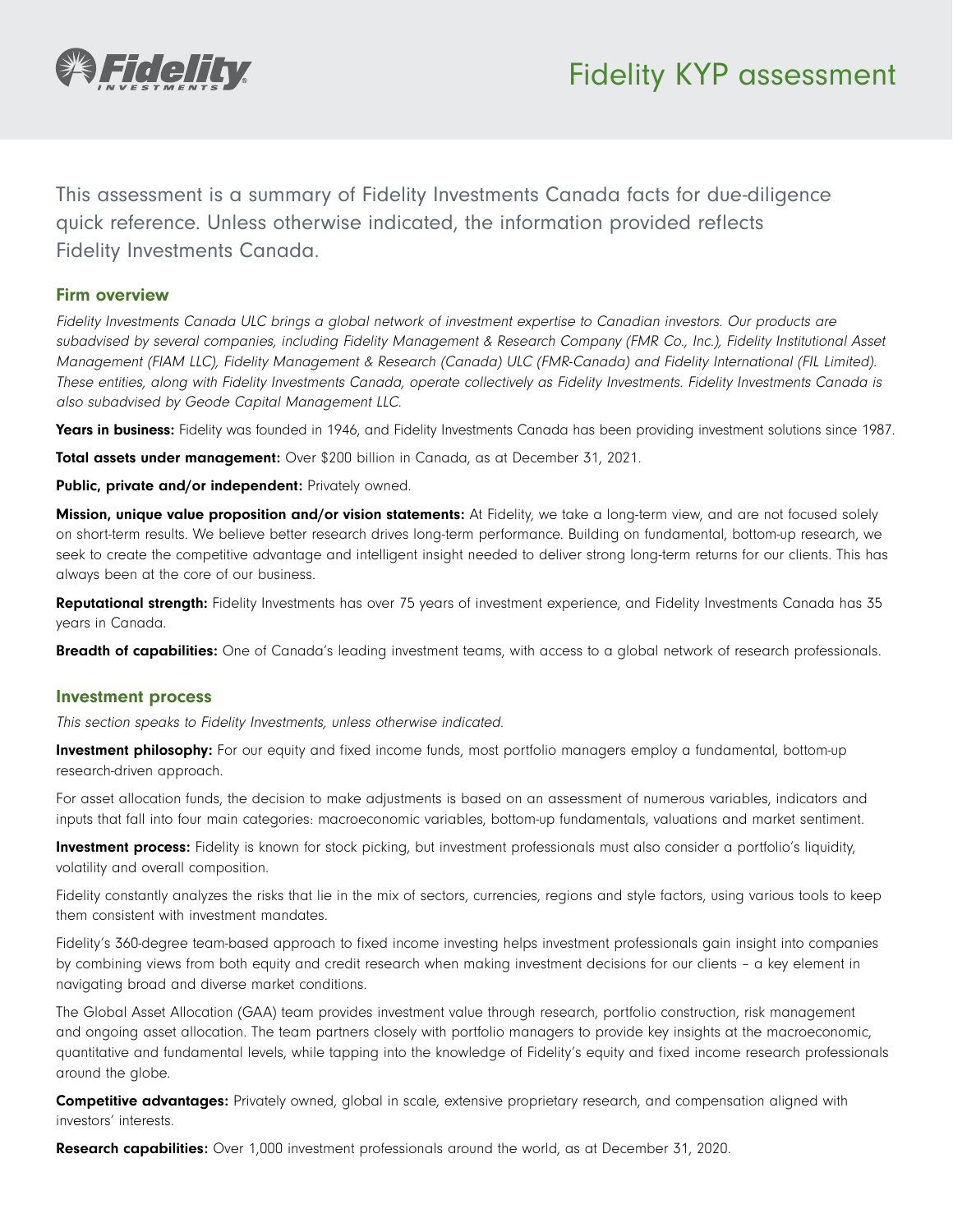

This assessment is a summary of Fidelity Investments Canada facts for due-diligence quick reference. Unless otherwise indicated, the information provided reflects Fidelity Investments Canada.

## Firm overview

Fidelity Investments Canada ULC brings a global network of investment expertise to Canadian investors. Our products are subadvised by several companies, including Fidelity Management & Research Company (FMR Co., Inc.), Fidelity Institutional Asset Management (FIAM LLC), Fidelity Management & Research (Canada) ULC (FMR-Canada) and Fidelity International (FIL Limited). These entities, along with Fidelity Investments Canada, operate collectively as Fidelity Investments. Fidelity Investments Canada is also subadvised by Geode Capital Management LLC.

Years in business: Fidelity was founded in 1946, and Fidelity Investments Canada has been providing investment solutions since 1987.

Total assets under management: Over \$200 billion in Canada, as at December 31, 2021.

Public, private and/or independent: Privately owned.

Mission, unique value proposition and/or vision statements: At Fidelity, we take a long-term view, and are not focused solely on short-term results. We believe better research drives long-term performance. Building on fundamental, bottom-up research, we seek to create the competitive advantage and intelligent insight needed to deliver strong long-term returns for our clients. This has always been at the core of our business.

Reputational strength: Fidelity Investments has over 75 years of investment experience, and Fidelity Investments Canada has 35 years in Canada.

Breadth of capabilities: One of Canada's leading investment teams, with access to a global network of research professionals.

## Investment process

This section speaks to Fidelity Investments, unless otherwise indicated.

Investment philosophy: For our equity and fixed income funds, most portfolio managers employ a fundamental, bottom-up research-driven approach.

For asset allocation funds, the decision to make adjustments is based on an assessment of numerous variables, indicators and inputs that fall into four main categories: macroeconomic variables, bottom-up fundamentals, valuations and market sentiment.

Investment process: Fidelity is known for stock picking, but investment professionals must also consider a portfolio's liquidity, volatility and overall composition.

Fidelity constantly analyzes the risks that lie in the mix of sectors, currencies, regions and style factors, using various tools to keep them consistent with investment mandates.

Fidelity's 360-degree team-based approach to fixed income investing helps investment professionals gain insight into companies by combining views from both equity and credit research when making investment decisions for our clients – a key element in navigating broad and diverse market conditions.

The Global Asset Allocation (GAA) team provides investment value through research, portfolio construction, risk management and ongoing asset allocation. The team partners closely with portfolio managers to provide key insights at the macroeconomic, quantitative and fundamental levels, while tapping into the knowledge of Fidelity's equity and fixed income research professionals around the globe.

Competitive advantages: Privately owned, global in scale, extensive proprietary research, and compensation aligned with investors' interests.

**Research capabilities:** Over 1,000 investment professionals around the world, as at December 31, 2020.